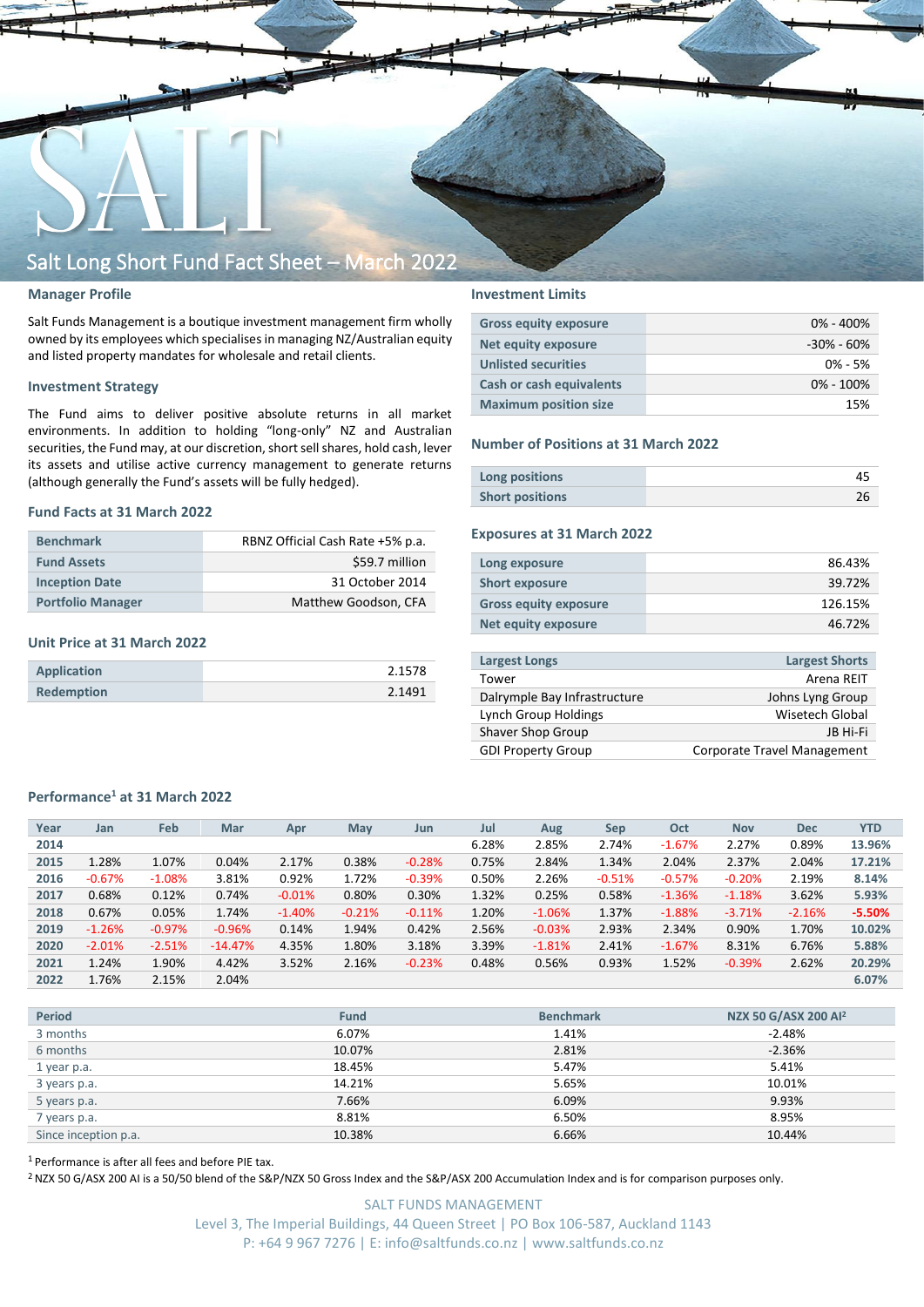

## **Manager Profile**

Salt Funds Management is a boutique investment management firm wholly owned by its employees which specialisesin managing NZ/Australian equity and listed property mandates for wholesale and retail clients.

### **Investment Strategy**

The Fund aims to deliver positive absolute returns in all market environments. In addition to holding "long-only" NZ and Australian securities, the Fund may, at our discretion, short sell shares, hold cash, lever its assets and utilise active currency management to generate returns (although generally the Fund's assets will be fully hedged).

### **Fund Facts at 31 March 2022**

| <b>Benchmark</b>         | RBNZ Official Cash Rate +5% p.a. |
|--------------------------|----------------------------------|
| <b>Fund Assets</b>       | \$59.7 million                   |
| <b>Inception Date</b>    | 31 October 2014                  |
| <b>Portfolio Manager</b> | Matthew Goodson, CFA             |

### **Unit Price at 31 March 2022**

| Application | 2.1578 |
|-------------|--------|
| Redemption  | 2.1491 |

## **Investment Limits**

| <b>Gross equity exposure</b> | $0\% - 400\%$  |
|------------------------------|----------------|
| Net equity exposure          | $-30\% - 60\%$ |
| <b>Unlisted securities</b>   | $0\% - 5\%$    |
| Cash or cash equivalents     | $0\% - 100\%$  |
| <b>Maximum position size</b> | 15%            |

### **Number of Positions at 31 March 2022**

| Long positions         |  |
|------------------------|--|
| <b>Short positions</b> |  |

## **Exposures at 31 March 2022**

| Long exposure                | 86.43%  |
|------------------------------|---------|
| <b>Short exposure</b>        | 39.72%  |
| <b>Gross equity exposure</b> | 126.15% |
| Net equity exposure          | 46.72%  |
|                              |         |

| <b>Largest Longs</b>         | <b>Largest Shorts</b>       |
|------------------------------|-----------------------------|
| Tower                        | Arena REIT                  |
| Dalrymple Bay Infrastructure | Johns Lyng Group            |
| Lynch Group Holdings         | Wisetech Global             |
| Shaver Shop Group            | IB Hi-Fi                    |
| <b>GDI Property Group</b>    | Corporate Travel Management |

## **Performance<sup>1</sup> at 31 March 2022**

| Year | Jan      | Feb      | <b>Mar</b> | Apr      | <b>May</b> | Jun      | Jul   | Aug      | <b>Sep</b> | Oct      | <b>Nov</b> | <b>Dec</b> | <b>YTD</b> |
|------|----------|----------|------------|----------|------------|----------|-------|----------|------------|----------|------------|------------|------------|
|      |          |          |            |          |            |          |       |          |            |          |            |            |            |
| 2014 |          |          |            |          |            |          | 6.28% | 2.85%    | 2.74%      | $-1.67%$ | 2.27%      | 0.89%      | 13.96%     |
| 2015 | 1.28%    | 1.07%    | 0.04%      | 2.17%    | 0.38%      | $-0.28%$ | 0.75% | 2.84%    | 1.34%      | 2.04%    | 2.37%      | 2.04%      | 17.21%     |
| 2016 | $-0.67%$ | $-1.08%$ | 3.81%      | 0.92%    | 1.72%      | $-0.39%$ | 0.50% | 2.26%    | $-0.51%$   | $-0.57%$ | $-0.20%$   | 2.19%      | 8.14%      |
| 2017 | 0.68%    | 0.12%    | 0.74%      | $-0.01%$ | 0.80%      | 0.30%    | 1.32% | 0.25%    | 0.58%      | $-1.36%$ | $-1.18%$   | 3.62%      | 5.93%      |
| 2018 | 0.67%    | 0.05%    | 1.74%      | $-1.40%$ | $-0.21%$   | $-0.11%$ | 1.20% | $-1.06%$ | 1.37%      | $-1.88%$ | $-3.71%$   | $-2.16%$   | $-5.50%$   |
| 2019 | $-1.26%$ | $-0.97%$ | $-0.96%$   | 0.14%    | 1.94%      | 0.42%    | 2.56% | $-0.03%$ | 2.93%      | 2.34%    | 0.90%      | 1.70%      | 10.02%     |
| 2020 | $-2.01%$ | $-2.51%$ | $-14.47%$  | 4.35%    | 1.80%      | 3.18%    | 3.39% | $-1.81%$ | 2.41%      | $-1.67%$ | 8.31%      | 6.76%      | 5.88%      |
| 2021 | 1.24%    | 1.90%    | 4.42%      | 3.52%    | 2.16%      | $-0.23%$ | 0.48% | 0.56%    | 0.93%      | 1.52%    | $-0.39%$   | 2.62%      | 20.29%     |
| 2022 | 1.76%    | 2.15%    | 2.04%      |          |            |          |       |          |            |          |            |            | 6.07%      |

| <b>Period</b>        | <b>Fund</b> | <b>Benchmark</b> | NZX 50 G/ASX 200 Al <sup>2</sup> |
|----------------------|-------------|------------------|----------------------------------|
| 3 months             | 6.07%       | 1.41%            | $-2.48%$                         |
| 6 months             | 10.07%      | 2.81%            | $-2.36%$                         |
| 1 year p.a.          | 18.45%      | 5.47%            | 5.41%                            |
| 3 years p.a.         | 14.21%      | 5.65%            | 10.01%                           |
| 5 years p.a.         | 7.66%       | 6.09%            | 9.93%                            |
| 7 years p.a.         | 8.81%       | 6.50%            | 8.95%                            |
| Since inception p.a. | 10.38%      | 6.66%            | 10.44%                           |

<sup>1</sup> Performance is after all fees and before PIE tax.

<sup>2</sup> NZX 50 G/ASX 200 AI is a 50/50 blend of the S&P/NZX 50 Gross Index and the S&P/ASX 200 Accumulation Index and is for comparison purposes only.

SALT FUNDS MANAGEMENT Level 3, The Imperial Buildings, 44 Queen Street | PO Box 106-587, Auckland 1143 P: +64 9 967 7276 | E: info@saltfunds.co.nz | www.saltfunds.co.nz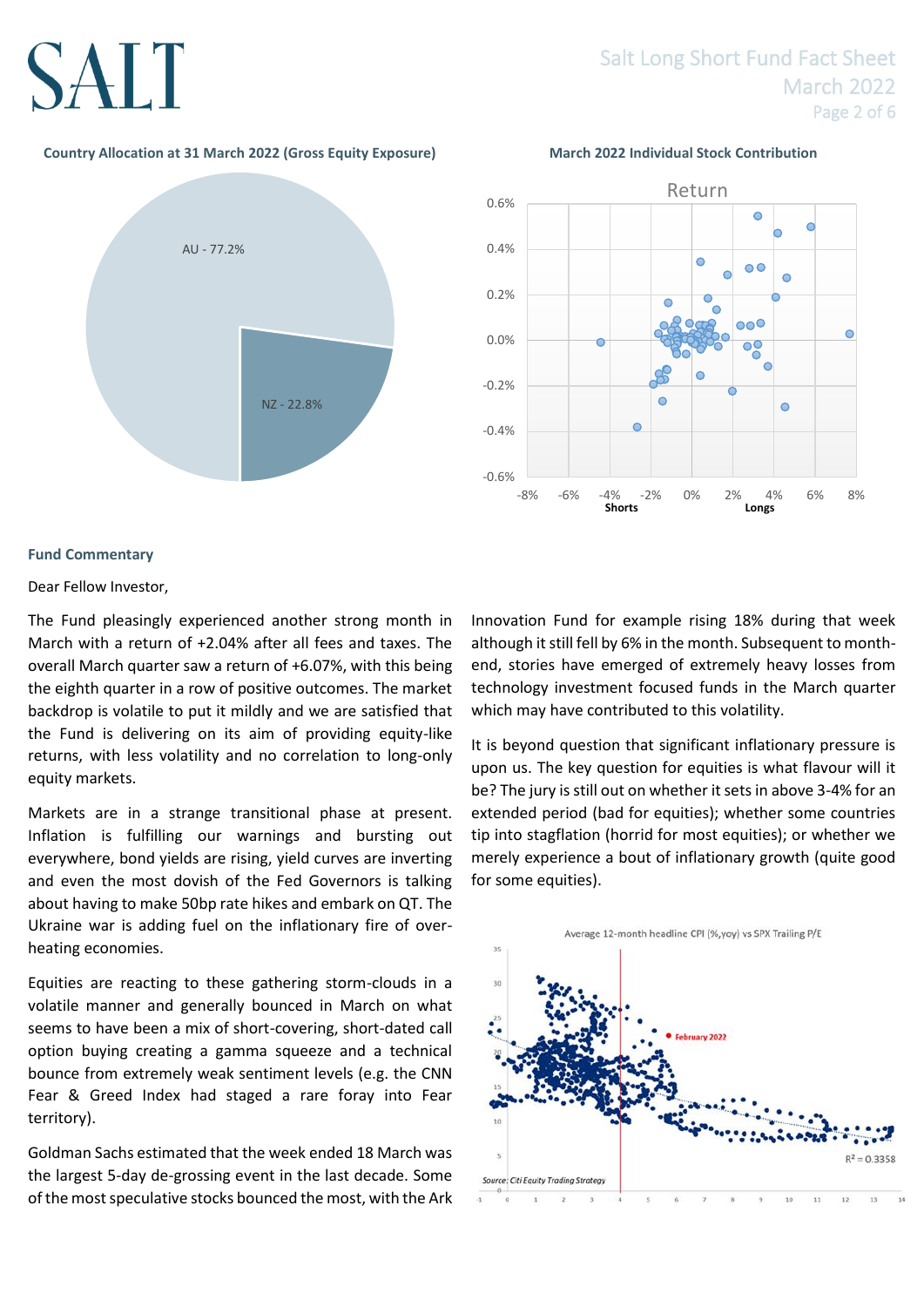# Salt Long Short Fund Fact Sheet March 2022 Page 2 of 6

# **Country Allocation at 31 March 2022 (Gross Equity Exposure) March 2022 Individual Stock Contribution**





# **Fund Commentary**

# Dear Fellow Investor,

The Fund pleasingly experienced another strong month in March with a return of +2.04% after all fees and taxes. The overall March quarter saw a return of +6.07%, with this being the eighth quarter in a row of positive outcomes. The market backdrop is volatile to put it mildly and we are satisfied that the Fund is delivering on its aim of providing equity-like returns, with less volatility and no correlation to long-only equity markets.

Markets are in a strange transitional phase at present. Inflation is fulfilling our warnings and bursting out everywhere, bond yields are rising, yield curves are inverting and even the most dovish of the Fed Governors is talking about having to make 50bp rate hikes and embark on QT. The Ukraine war is adding fuel on the inflationary fire of overheating economies.

Equities are reacting to these gathering storm-clouds in a volatile manner and generally bounced in March on what seems to have been a mix of short-covering, short-dated call option buying creating a gamma squeeze and a technical bounce from extremely weak sentiment levels (e.g. the CNN Fear & Greed Index had staged a rare foray into Fear territory).

Goldman Sachs estimated that the week ended 18 March was the largest 5-day de-grossing event in the last decade. Some of the most speculative stocks bounced the most, with the Ark Innovation Fund for example rising 18% during that week although it still fell by 6% in the month. Subsequent to monthend, stories have emerged of extremely heavy losses from technology investment focused funds in the March quarter which may have contributed to this volatility.

It is beyond question that significant inflationary pressure is upon us. The key question for equities is what flavour will it be? The jury is still out on whether it sets in above 3-4% for an extended period (bad for equities); whether some countries tip into stagflation (horrid for most equities); or whether we merely experience a bout of inflationary growth (quite good for some equities).

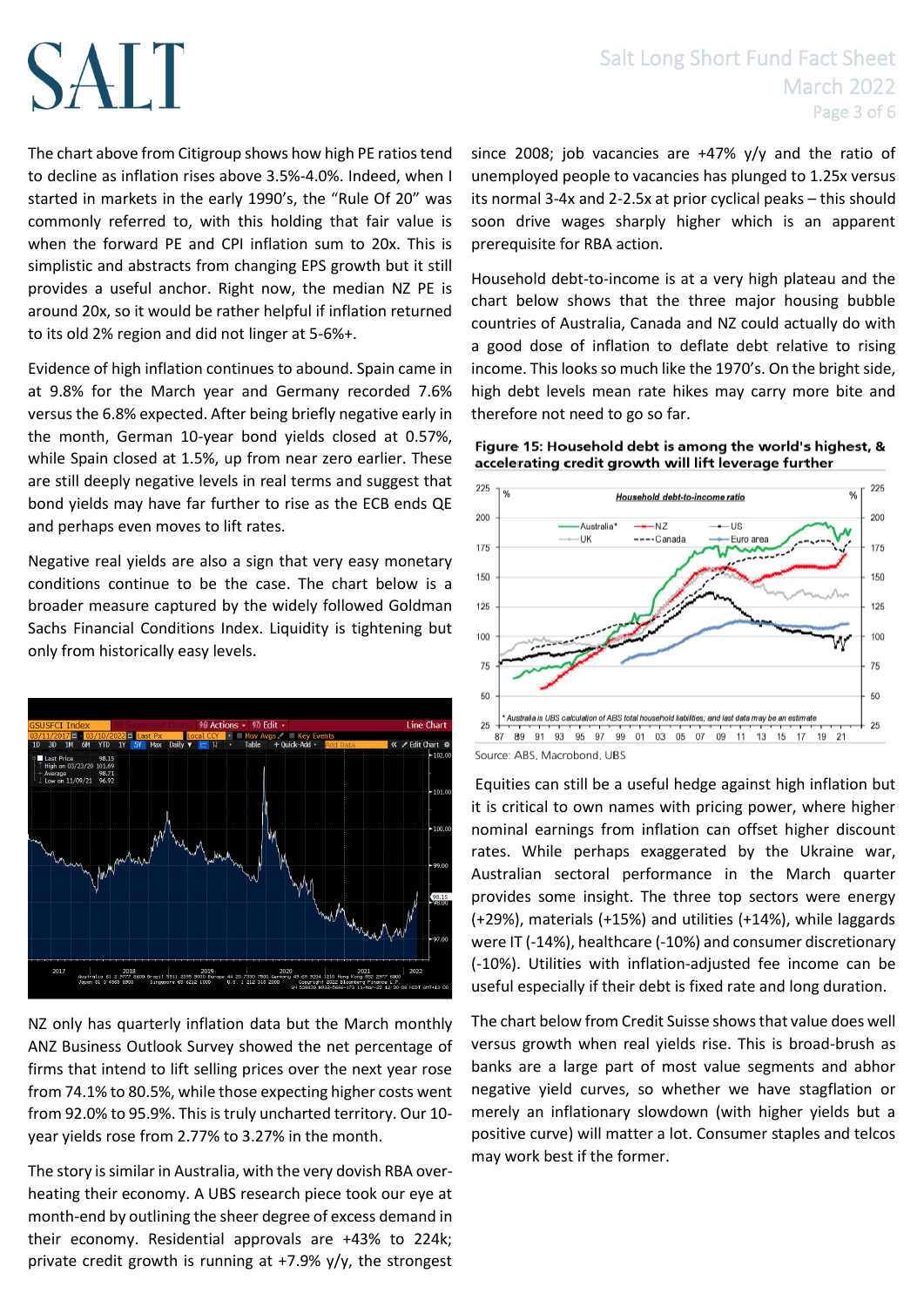The chart above from Citigroup shows how high PE ratios tend to decline as inflation rises above 3.5%-4.0%. Indeed, when I started in markets in the early 1990's, the "Rule Of 20" was commonly referred to, with this holding that fair value is when the forward PE and CPI inflation sum to 20x. This is simplistic and abstracts from changing EPS growth but it still provides a useful anchor. Right now, the median NZ PE is around 20x, so it would be rather helpful if inflation returned to its old 2% region and did not linger at 5-6%+.

Evidence of high inflation continues to abound. Spain came in at 9.8% for the March year and Germany recorded 7.6% versus the 6.8% expected. After being briefly negative early in the month, German 10-year bond yields closed at 0.57%, while Spain closed at 1.5%, up from near zero earlier. These are still deeply negative levels in real terms and suggest that bond yields may have far further to rise as the ECB ends QE and perhaps even moves to lift rates.

Negative real yields are also a sign that very easy monetary conditions continue to be the case. The chart below is a broader measure captured by the widely followed Goldman Sachs Financial Conditions Index. Liquidity is tightening but only from historically easy levels.



NZ only has quarterly inflation data but the March monthly ANZ Business Outlook Survey showed the net percentage of firms that intend to lift selling prices over the next year rose from 74.1% to 80.5%, while those expecting higher costs went from 92.0% to 95.9%. This is truly uncharted territory. Our 10 year yields rose from 2.77% to 3.27% in the month.

The story is similar in Australia, with the very dovish RBA overheating their economy. A UBS research piece took our eye at month-end by outlining the sheer degree of excess demand in their economy. Residential approvals are +43% to 224k; private credit growth is running at +7.9% y/y, the strongest

# Salt Long Short Fund Fact Sheet March 2022 Page 3 of 6

since 2008; job vacancies are +47% y/y and the ratio of unemployed people to vacancies has plunged to 1.25x versus its normal 3-4x and 2-2.5x at prior cyclical peaks – this should soon drive wages sharply higher which is an apparent prerequisite for RBA action.

Household debt-to-income is at a very high plateau and the chart below shows that the three major housing bubble countries of Australia, Canada and NZ could actually do with a good dose of inflation to deflate debt relative to rising income. This looks so much like the 1970's. On the bright side, high debt levels mean rate hikes may carry more bite and therefore not need to go so far.





Source: ABS, Macrobond, UBS

Equities can still be a useful hedge against high inflation but it is critical to own names with pricing power, where higher nominal earnings from inflation can offset higher discount rates. While perhaps exaggerated by the Ukraine war, Australian sectoral performance in the March quarter provides some insight. The three top sectors were energy (+29%), materials (+15%) and utilities (+14%), while laggards were IT (-14%), healthcare (-10%) and consumer discretionary (-10%). Utilities with inflation-adjusted fee income can be useful especially if their debt is fixed rate and long duration.

The chart below from Credit Suisse shows that value does well versus growth when real yields rise. This is broad-brush as banks are a large part of most value segments and abhor negative yield curves, so whether we have stagflation or merely an inflationary slowdown (with higher yields but a positive curve) will matter a lot. Consumer staples and telcos may work best if the former.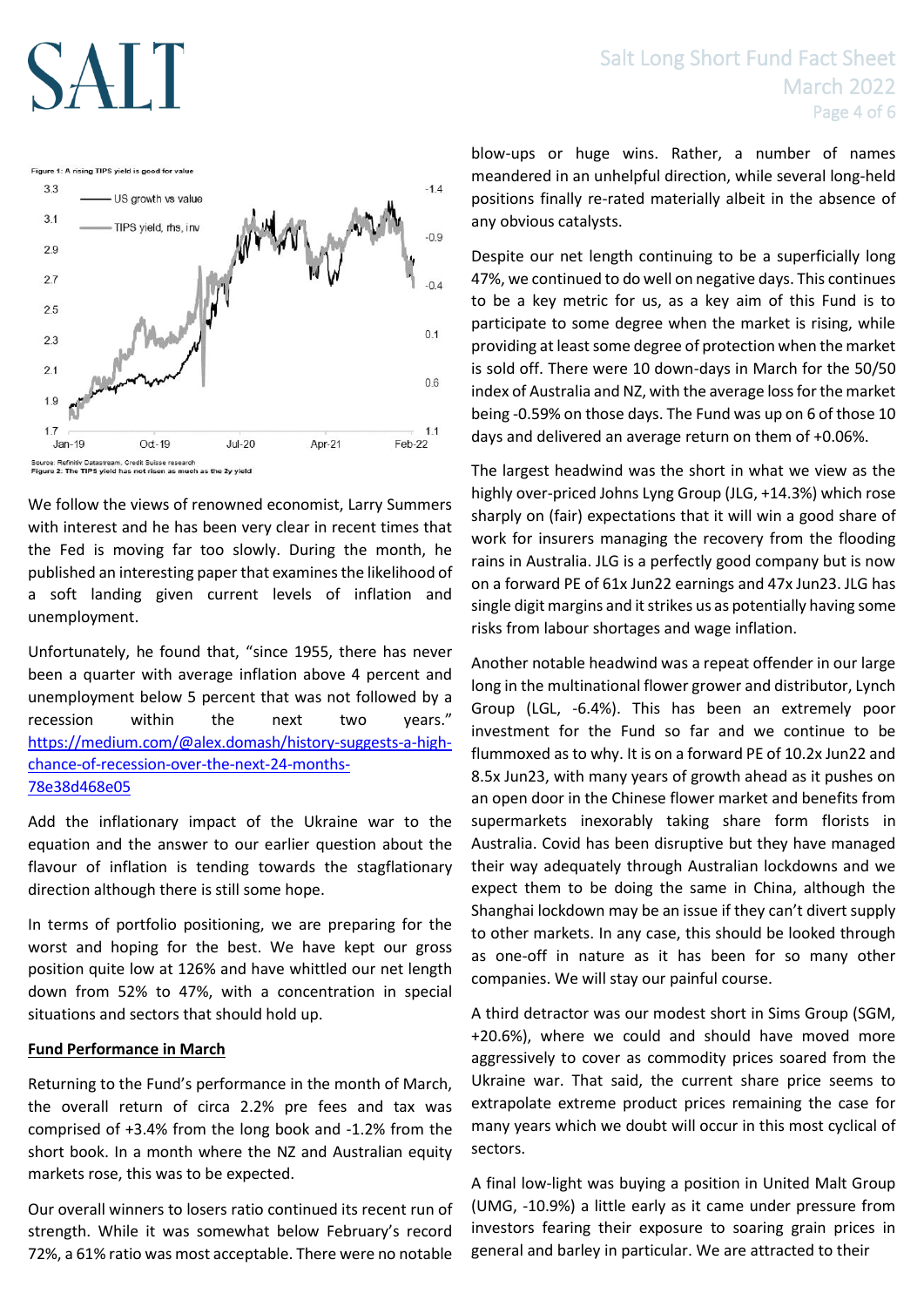# Salt Long Short Fund Fact Sheet March 2022 Page 4 of 6



Source: Refinitiv Datastream, Credit Suisse research<br>Figure 2: The TIPS yield has not risen as much as the 2y yield

We follow the views of renowned economist, Larry Summers with interest and he has been very clear in recent times that the Fed is moving far too slowly. During the month, he published an interesting paper that examines the likelihood of a soft landing given current levels of inflation and unemployment.

Unfortunately, he found that, "since 1955, there has never been a quarter with average inflation above 4 percent and unemployment below 5 percent that was not followed by a recession within the next two years." [https://medium.com/@alex.domash/history-suggests-a-high](https://medium.com/@alex.domash/history-suggests-a-high-chance-of-recession-over-the-next-24-months-78e38d468e05)[chance-of-recession-over-the-next-24-months-](https://medium.com/@alex.domash/history-suggests-a-high-chance-of-recession-over-the-next-24-months-78e38d468e05)[78e38d468e05](https://medium.com/@alex.domash/history-suggests-a-high-chance-of-recession-over-the-next-24-months-78e38d468e05)

Add the inflationary impact of the Ukraine war to the equation and the answer to our earlier question about the flavour of inflation is tending towards the stagflationary direction although there is still some hope.

In terms of portfolio positioning, we are preparing for the worst and hoping for the best. We have kept our gross position quite low at 126% and have whittled our net length down from 52% to 47%, with a concentration in special situations and sectors that should hold up.

# **Fund Performance in March**

Returning to the Fund's performance in the month of March, the overall return of circa 2.2% pre fees and tax was comprised of +3.4% from the long book and -1.2% from the short book. In a month where the NZ and Australian equity markets rose, this was to be expected.

Our overall winners to losers ratio continued its recent run of strength. While it was somewhat below February's record 72%, a 61% ratio was most acceptable. There were no notable

blow-ups or huge wins. Rather, a number of names meandered in an unhelpful direction, while several long-held positions finally re-rated materially albeit in the absence of any obvious catalysts.

Despite our net length continuing to be a superficially long 47%, we continued to do well on negative days. This continues to be a key metric for us, as a key aim of this Fund is to participate to some degree when the market is rising, while providing at least some degree of protection when the market is sold off. There were 10 down-days in March for the 50/50 index of Australia and NZ, with the average loss for the market being -0.59% on those days. The Fund was up on 6 of those 10 days and delivered an average return on them of +0.06%.

The largest headwind was the short in what we view as the highly over-priced Johns Lyng Group (JLG, +14.3%) which rose sharply on (fair) expectations that it will win a good share of work for insurers managing the recovery from the flooding rains in Australia. JLG is a perfectly good company but is now on a forward PE of 61x Jun22 earnings and 47x Jun23. JLG has single digit margins and it strikes us as potentially having some risks from labour shortages and wage inflation.

Another notable headwind was a repeat offender in our large long in the multinational flower grower and distributor, Lynch Group (LGL, -6.4%). This has been an extremely poor investment for the Fund so far and we continue to be flummoxed as to why. It is on a forward PE of 10.2x Jun22 and 8.5x Jun23, with many years of growth ahead as it pushes on an open door in the Chinese flower market and benefits from supermarkets inexorably taking share form florists in Australia. Covid has been disruptive but they have managed their way adequately through Australian lockdowns and we expect them to be doing the same in China, although the Shanghai lockdown may be an issue if they can't divert supply to other markets. In any case, this should be looked through as one-off in nature as it has been for so many other companies. We will stay our painful course.

A third detractor was our modest short in Sims Group (SGM, +20.6%), where we could and should have moved more aggressively to cover as commodity prices soared from the Ukraine war. That said, the current share price seems to extrapolate extreme product prices remaining the case for many years which we doubt will occur in this most cyclical of sectors.

A final low-light was buying a position in United Malt Group (UMG, -10.9%) a little early as it came under pressure from investors fearing their exposure to soaring grain prices in general and barley in particular. We are attracted to their